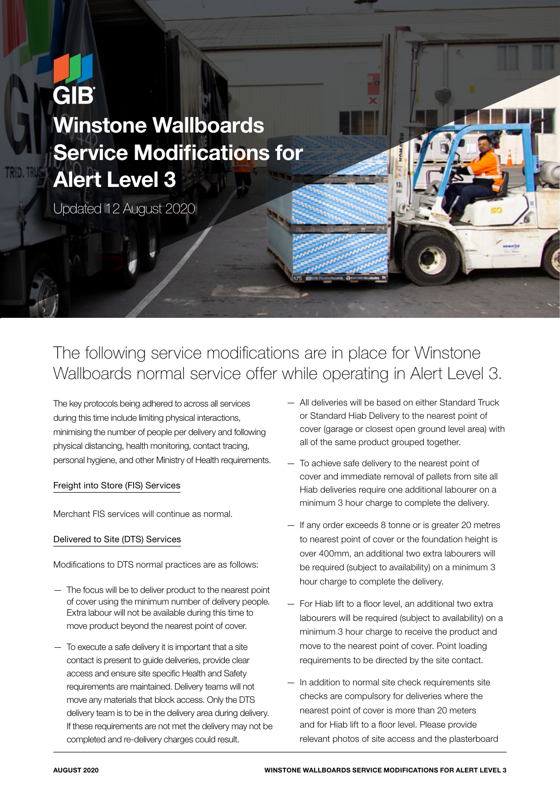# **GIB** Winstone Wallboards Service Modifications for Alert Level 3

Updated 12 August 2020

# The following service modifications are in place for Winstone Wallboards normal service offer while operating in Alert Level 3.

The key protocols being adhered to across all services during this time include limiting physical interactions, minimising the number of people per delivery and following physical distancing, health monitoring, contact tracing, personal hygiene, and other Ministry of Health requirements.

# Freight into Store (FIS) Services

Merchant FIS services will continue as normal.

# Delivered to Site (DTS) Services

Modifications to DTS normal practices are as follows:

- The focus will be to deliver product to the nearest point of cover using the minimum number of delivery people. Extra labour will not be available during this time to move product beyond the nearest point of cover.
- To execute a safe delivery it is important that a site contact is present to guide deliveries, provide clear access and ensure site specific Health and Safety requirements are maintained. Delivery teams will not move any materials that block access. Only the DTS delivery team is to be in the delivery area during delivery. If these requirements are not met the delivery may not be completed and re-delivery charges could result.
- All deliveries will be based on either Standard Truck or Standard Hiab Delivery to the nearest point of cover (garage or closest open ground level area) with all of the same product grouped together.
- To achieve safe delivery to the nearest point of cover and immediate removal of pallets from site all Hiab deliveries require one additional labourer on a minimum 3 hour charge to complete the delivery.
- If any order exceeds 8 tonne or is greater 20 metres to nearest point of cover or the foundation height is over 400mm, an additional two extra labourers will be required (subject to availability) on a minimum 3 hour charge to complete the delivery.
- For Hiab lift to a floor level, an additional two extra labourers will be required (subject to availability) on a minimum 3 hour charge to receive the product and move to the nearest point of cover. Point loading requirements to be directed by the site contact.
- In addition to normal site check requirements site checks are compulsory for deliveries where the nearest point of cover is more than 20 meters and for Hiab lift to a floor level. Please provide relevant photos of site access and the plasterboard